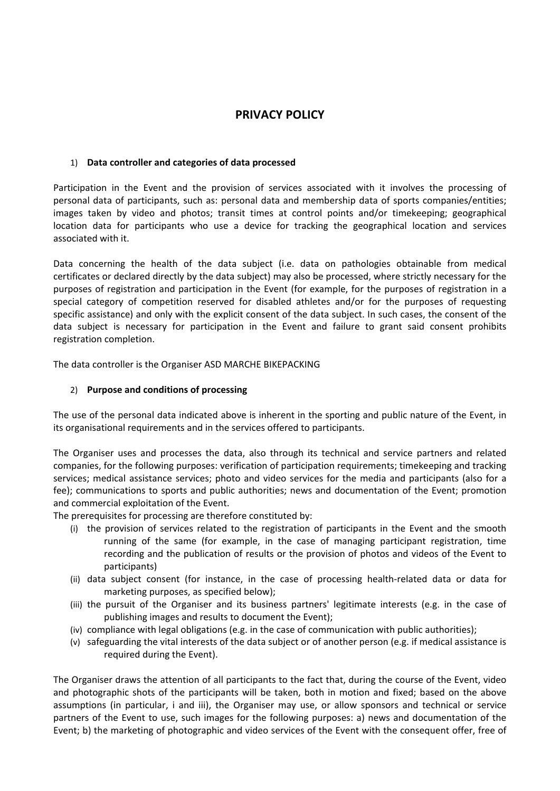# **PRIVACY POLICY**

#### 1) **Data controller and categories of data processed**

Participation in the Event and the provision of services associated with it involves the processing of personal data of participants, such as: personal data and membership data of sports companies/entities; images taken by video and photos; transit times at control points and/or timekeeping; geographical location data for participants who use a device for tracking the geographical location and services associated with it.

Data concerning the health of the data subject (i.e. data on pathologies obtainable from medical certificates or declared directly by the data subject) may also be processed, where strictly necessary for the purposes of registration and participation in the Event (for example, for the purposes of registration in a special category of competition reserved for disabled athletes and/or for the purposes of requesting specific assistance) and only with the explicit consent of the data subject. In such cases, the consent of the data subject is necessary for participation in the Event and failure to grant said consent prohibits registration completion.

The data controller is the Organiser ASD MARCHE BIKEPACKING

### 2) **Purpose and conditions of processing**

The use of the personal data indicated above is inherent in the sporting and public nature of the Event, in its organisational requirements and in the services offered to participants.

The Organiser uses and processes the data, also through its technical and service partners and related companies, for the following purposes: verification of participation requirements; timekeeping and tracking services; medical assistance services; photo and video services for the media and participants (also for a fee); communications to sports and public authorities; news and documentation of the Event; promotion and commercial exploitation of the Event.

The prerequisites for processing are therefore constituted by:

- (i) the provision of services related to the registration of participants in the Event and the smooth running of the same (for example, in the case of managing participant registration, time recording and the publication of results or the provision of photos and videos of the Event to participants)
- (ii) data subject consent (for instance, in the case of processing health-related data or data for marketing purposes, as specified below);
- (iii) the pursuit of the Organiser and its business partners' legitimate interests (e.g. in the case of publishing images and results to document the Event);
- (iv) compliance with legal obligations (e.g. in the case of communication with public authorities);
- (v) safeguarding the vital interests of the data subject or of another person (e.g. if medical assistance is required during the Event).

The Organiser draws the attention of all participants to the fact that, during the course of the Event, video and photographic shots of the participants will be taken, both in motion and fixed; based on the above assumptions (in particular, i and iii), the Organiser may use, or allow sponsors and technical or service partners of the Event to use, such images for the following purposes: a) news and documentation of the Event; b) the marketing of photographic and video services of the Event with the consequent offer, free of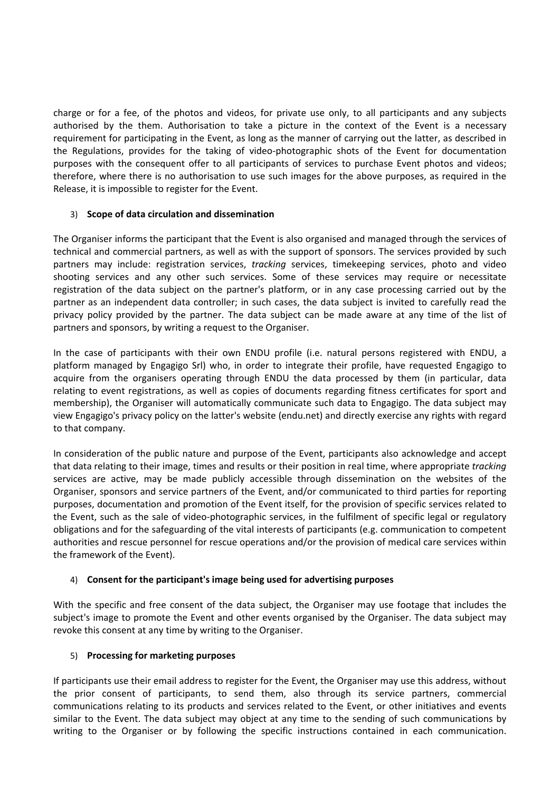charge or for a fee, of the photos and videos, for private use only, to all participants and any subjects authorised by the them. Authorisation to take a picture in the context of the Event is a necessary requirement for participating in the Event, as long as the manner of carrying out the latter, as described in the Regulations, provides for the taking of video-photographic shots of the Event for documentation purposes with the consequent offer to all participants of services to purchase Event photos and videos; therefore, where there is no authorisation to use such images for the above purposes, as required in the Release, it is impossible to register for the Event.

### 3) **Scope of data circulation and dissemination**

The Organiser informs the participant that the Event is also organised and managed through the services of technical and commercial partners, as well as with the support of sponsors. The services provided by such partners may include: registration services, *tracking* services, timekeeping services, photo and video shooting services and any other such services. Some of these services may require or necessitate registration of the data subject on the partner's platform, or in any case processing carried out by the partner as an independent data controller; in such cases, the data subject is invited to carefully read the privacy policy provided by the partner. The data subject can be made aware at any time of the list of partners and sponsors, by writing a request to the Organiser.

In the case of participants with their own ENDU profile (i.e. natural persons registered with ENDU, a platform managed by Engagigo Srl) who, in order to integrate their profile, have requested Engagigo to acquire from the organisers operating through ENDU the data processed by them (in particular, data relating to event registrations, as well as copies of documents regarding fitness certificates for sport and membership), the Organiser will automatically communicate such data to Engagigo. The data subject may view Engagigo's privacy policy on the latter's website (endu.net) and directly exercise any rights with regard to that company.

In consideration of the public nature and purpose of the Event, participants also acknowledge and accept that data relating to their image, times and results or their position in real time, where appropriate *tracking* services are active, may be made publicly accessible through dissemination on the websites of the Organiser, sponsors and service partners of the Event, and/or communicated to third parties for reporting purposes, documentation and promotion of the Event itself, for the provision of specific services related to the Event, such as the sale of video-photographic services, in the fulfilment of specific legal or regulatory obligations and for the safeguarding of the vital interests of participants (e.g. communication to competent authorities and rescue personnel for rescue operations and/or the provision of medical care services within the framework of the Event).

### 4) **Consent for the participant's image being used for advertising purposes**

With the specific and free consent of the data subject, the Organiser may use footage that includes the subject's image to promote the Event and other events organised by the Organiser. The data subject may revoke this consent at any time by writing to the Organiser.

#### 5) **Processing for marketing purposes**

If participants use their email address to register for the Event, the Organiser may use this address, without the prior consent of participants, to send them, also through its service partners, commercial communications relating to its products and services related to the Event, or other initiatives and events similar to the Event. The data subject may object at any time to the sending of such communications by writing to the Organiser or by following the specific instructions contained in each communication.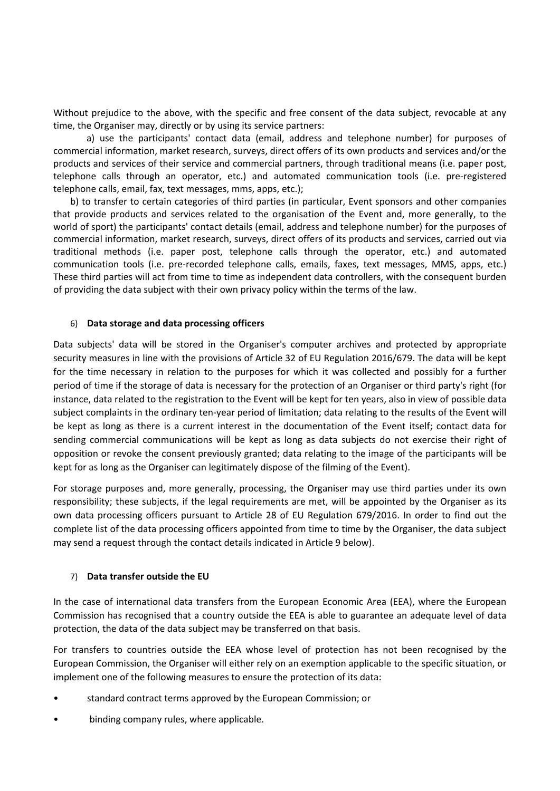Without prejudice to the above, with the specific and free consent of the data subject, revocable at any time, the Organiser may, directly or by using its service partners:

a) use the participants' contact data (email, address and telephone number) for purposes of commercial information, market research, surveys, direct offers of its own products and services and/or the products and services of their service and commercial partners, through traditional means (i.e. paper post, telephone calls through an operator, etc.) and automated communication tools (i.e. pre-registered telephone calls, email, fax, text messages, mms, apps, etc.);

b) to transfer to certain categories of third parties (in particular, Event sponsors and other companies that provide products and services related to the organisation of the Event and, more generally, to the world of sport) the participants' contact details (email, address and telephone number) for the purposes of commercial information, market research, surveys, direct offers of its products and services, carried out via traditional methods (i.e. paper post, telephone calls through the operator, etc.) and automated communication tools (i.e. pre-recorded telephone calls, emails, faxes, text messages, MMS, apps, etc.) These third parties will act from time to time as independent data controllers, with the consequent burden of providing the data subject with their own privacy policy within the terms of the law.

#### 6) **Data storage and data processing officers**

Data subjects' data will be stored in the Organiser's computer archives and protected by appropriate security measures in line with the provisions of Article 32 of EU Regulation 2016/679. The data will be kept for the time necessary in relation to the purposes for which it was collected and possibly for a further period of time if the storage of data is necessary for the protection of an Organiser or third party's right (for instance, data related to the registration to the Event will be kept for ten years, also in view of possible data subject complaints in the ordinary ten-year period of limitation; data relating to the results of the Event will be kept as long as there is a current interest in the documentation of the Event itself; contact data for sending commercial communications will be kept as long as data subjects do not exercise their right of opposition or revoke the consent previously granted; data relating to the image of the participants will be kept for as long as the Organiser can legitimately dispose of the filming of the Event).

For storage purposes and, more generally, processing, the Organiser may use third parties under its own responsibility; these subjects, if the legal requirements are met, will be appointed by the Organiser as its own data processing officers pursuant to Article 28 of EU Regulation 679/2016. In order to find out the complete list of the data processing officers appointed from time to time by the Organiser, the data subject may send a request through the contact details indicated in Article 9 below).

#### 7) **Data transfer outside the EU**

In the case of international data transfers from the European Economic Area (EEA), where the European Commission has recognised that a country outside the EEA is able to guarantee an adequate level of data protection, the data of the data subject may be transferred on that basis.

For transfers to countries outside the EEA whose level of protection has not been recognised by the European Commission, the Organiser will either rely on an exemption applicable to the specific situation, or implement one of the following measures to ensure the protection of its data:

- standard contract terms approved by the European Commission; or
- binding company rules, where applicable.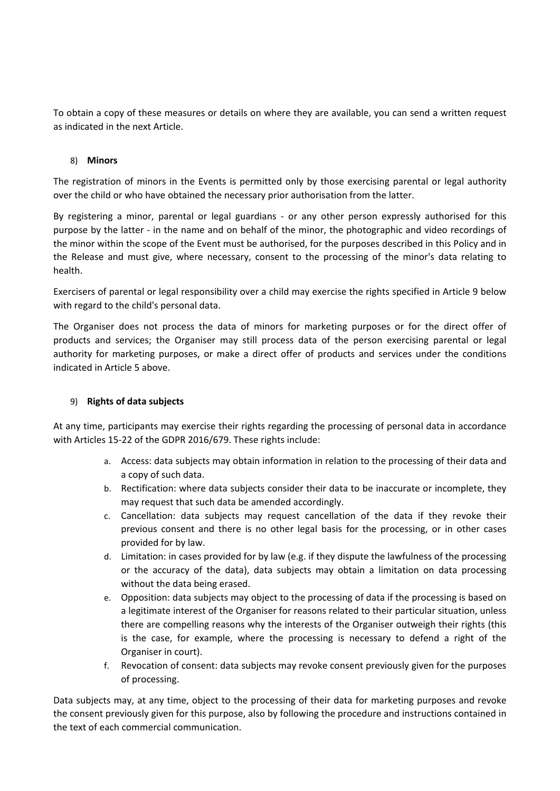To obtain a copy of these measures or details on where they are available, you can send a written request as indicated in the next Article.

### 8) **Minors**

The registration of minors in the Events is permitted only by those exercising parental or legal authority over the child or who have obtained the necessary prior authorisation from the latter.

By registering a minor, parental or legal guardians - or any other person expressly authorised for this purpose by the latter - in the name and on behalf of the minor, the photographic and video recordings of the minor within the scope of the Event must be authorised, for the purposes described in this Policy and in the Release and must give, where necessary, consent to the processing of the minor's data relating to health.

Exercisers of parental or legal responsibility over a child may exercise the rights specified in Article 9 below with regard to the child's personal data.

The Organiser does not process the data of minors for marketing purposes or for the direct offer of products and services; the Organiser may still process data of the person exercising parental or legal authority for marketing purposes, or make a direct offer of products and services under the conditions indicated in Article 5 above.

## 9) **Rights of data subjects**

At any time, participants may exercise their rights regarding the processing of personal data in accordance with Articles 15-22 of the GDPR 2016/679. These rights include:

- a. Access: data subjects may obtain information in relation to the processing of their data and a copy of such data.
- b. Rectification: where data subjects consider their data to be inaccurate or incomplete, they may request that such data be amended accordingly.
- c. Cancellation: data subjects may request cancellation of the data if they revoke their previous consent and there is no other legal basis for the processing, or in other cases provided for by law.
- d. Limitation: in cases provided for by law (e.g. if they dispute the lawfulness of the processing or the accuracy of the data), data subjects may obtain a limitation on data processing without the data being erased.
- e. Opposition: data subjects may object to the processing of data if the processing is based on a legitimate interest of the Organiser for reasons related to their particular situation, unless there are compelling reasons why the interests of the Organiser outweigh their rights (this is the case, for example, where the processing is necessary to defend a right of the Organiser in court).
- f. Revocation of consent: data subjects may revoke consent previously given for the purposes of processing.

Data subjects may, at any time, object to the processing of their data for marketing purposes and revoke the consent previously given for this purpose, also by following the procedure and instructions contained in the text of each commercial communication.